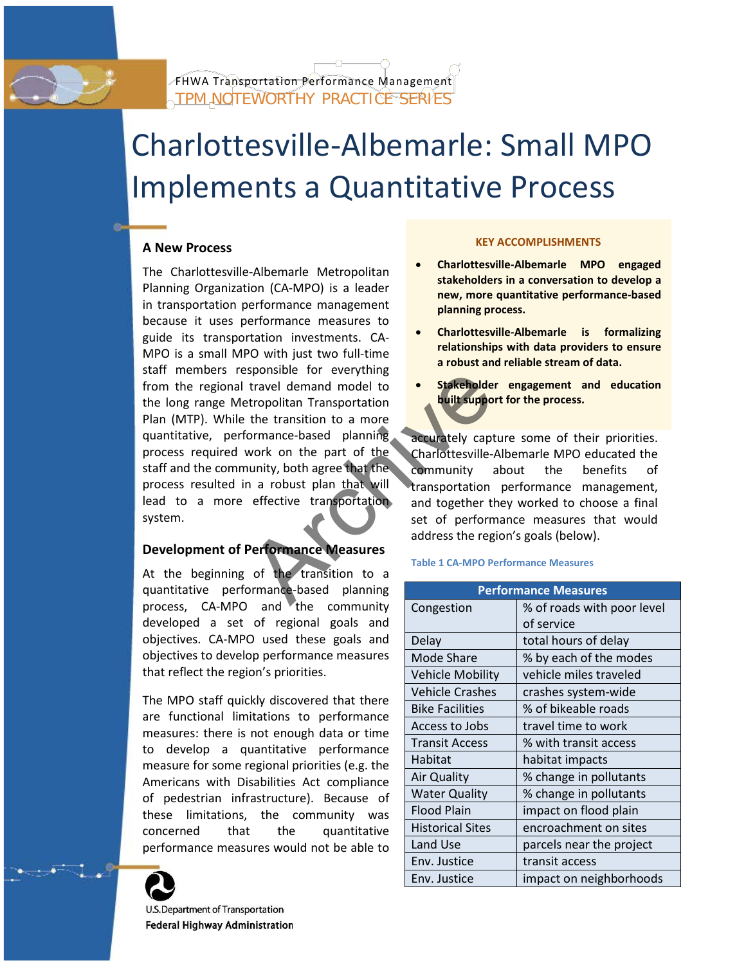

# Charlottesville-Albemarle: Small MPO Implements a Quantitative Process

# **A New Process**

The Charlottesville-Albemarle Metropolitan Planning Organization (CA-MPO) is a leader in transportation performance management because it uses performance measures to guide its transportation investments. CA-MPO is a small MPO with just two full-time staff members responsible for everything from the regional travel demand model to the long range Metropolitan Transportation Plan (MTP). While the transition to a more quantitative, performance-based planning process required work on the part of the staff and the community, both agree that the process resulted in a robust plan that will lead to a more effective transportation system. Sponsible for everything<br>travel demand model to<br>tropolitan Transportation<br>the transition to a more<br>formance-based planning<br>work on the part of the Charlottesville-<br>nunity, both agree that the<br>a robust plan that will transp

# **Development of Performance Measures**

At the beginning of the transition to a quantitative performance-based planning process, CA-MPO and the community developed a set of regional goals and objectives. CA-MPO used these goals and objectives to develop performance measures that reflect the region's priorities.

The MPO staff quickly discovered that there are functional limitations to performance measures: there is not enough data or time to develop a quantitative performance measure for some regional priorities (e.g. the Americans with Disabilities Act compliance of pedestrian infrastructure). Because of these limitations, the community was concerned that the quantitative performance measures would not be able to



U.S. Department of Transportation **Federal Highway Administration** 

#### **KEY ACCOMPLISHMENTS**

- **Charlottesville-Albemarle MPO engaged stakeholders in a conversation to develop a new, more quantitative performance-based planning process.**
- **Charlottesville-Albemarle is formalizing relationships with data providers to ensure a robust and reliable stream of data.**
- **Stakeholder engagement and education built support for the process.**

accurately capture some of their priorities. Charlottesville-Albemarle MPO educated the community about the benefits of transportation performance management, and together they worked to choose a final set of performance measures that would address the region's goals (below).

#### **Table 1 CA-MPO Performance Measures**

| <b>Performance Measures</b> |                            |
|-----------------------------|----------------------------|
| Congestion                  | % of roads with poor level |
|                             | of service                 |
| Delay                       | total hours of delay       |
| <b>Mode Share</b>           | % by each of the modes     |
| <b>Vehicle Mobility</b>     | vehicle miles traveled     |
| <b>Vehicle Crashes</b>      | crashes system-wide        |
| <b>Bike Facilities</b>      | % of bikeable roads        |
| Access to Jobs              | travel time to work        |
| <b>Transit Access</b>       | % with transit access      |
| Habitat                     | habitat impacts            |
| <b>Air Quality</b>          | % change in pollutants     |
| <b>Water Quality</b>        | % change in pollutants     |
| <b>Flood Plain</b>          | impact on flood plain      |
| <b>Historical Sites</b>     | encroachment on sites      |
| Land Use                    | parcels near the project   |
| Env. Justice                | transit access             |
| Env. Justice                | impact on neighborhoods    |